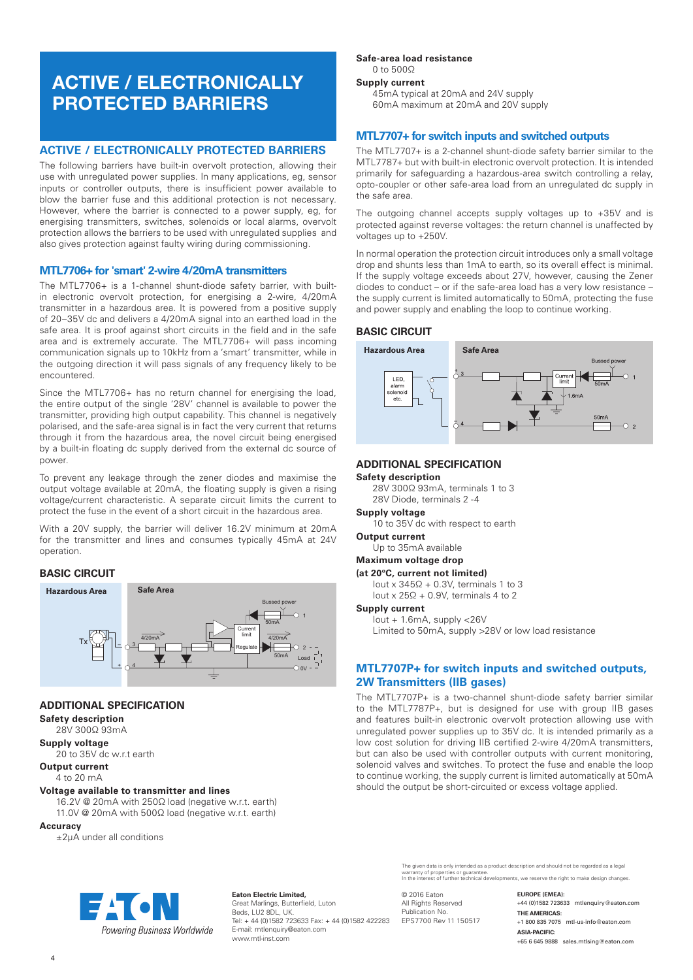# ACTIVE / ELECTRONICALLY PROTECTED BARRIERS

# **ACTIVE / ELECTRONICALLY PROTECTED BARRIERS**

The following barriers have built-in overvolt protection, allowing their use with unregulated power supplies. In many applications, eg, sensor inputs or controller outputs, there is insufficient power available to blow the barrier fuse and this additional protection is not necessary. However, where the barrier is connected to a power supply, eg, for energising transmitters, switches, solenoids or local alarms, overvolt protection allows the barriers to be used with unregulated supplies and also gives protection against faulty wiring during commissioning.

# **MTL7706+ for 'smart' 2-wire 4/20mA transmitters**

The MTL7706+ is a 1-channel shunt-diode safety barrier, with builtin electronic overvolt protection, for energising a 2-wire, 4/20mA transmitter in a hazardous area. It is powered from a positive supply of 20–35V dc and delivers a 4/20mA signal into an earthed load in the safe area. It is proof against short circuits in the field and in the safe area and is extremely accurate. The MTL7706+ will pass incoming communication signals up to 10kHz from a 'smart' transmitter, while in the outgoing direction it will pass signals of any frequency likely to be encountered.

Since the MTL7706+ has no return channel for energising the load, the entire output of the single '28V' channel is available to power the transmitter, providing high output capability. This channel is negatively polarised, and the safe-area signal is in fact the very current that returns through it from the hazardous area, the novel circuit being energised by a built-in floating dc supply derived from the external dc source of power.

To prevent any leakage through the zener diodes and maximise the output voltage available at 20mA, the floating supply is given a rising voltage/current characteristic. A separate circuit limits the current to protect the fuse in the event of a short circuit in the hazardous area.

With a 20V supply, the barrier will deliver 16.2V minimum at 20mA for the transmitter and lines and consumes typically 45mA at 24V operation.

## **BASIC CIRCUIT**



# **ADDITIONAL SPECIFICATION**

**Safety description** 28V 300Ω 93mA

**Supply voltage** 20 to 35V dc w.r.t earth

**Output current**

#### 4 to 20 mA

#### **Voltage available to transmitter and lines**

16.2V @ 20mA with 250Ω load (negative w.r.t. earth) 11.0V @ 20mA with 500Ω load (negative w.r.t. earth)

#### **Accuracy**

±2µA under all conditions

# **Safe-area load resistance**

0 to 500Ω **Supply current**

> 45mA typical at 20mA and 24V supply 60mA maximum at 20mA and 20V supply

## **MTL7707+ for switch inputs and switched outputs**

The MTL7707+ is a 2-channel shunt-diode safety barrier similar to the MTL7787+ but with built-in electronic overvolt protection. It is intended primarily for safeguarding a hazardous-area switch controlling a relay, opto-coupler or other safe-area load from an unregulated dc supply in the safe area.

The outgoing channel accepts supply voltages up to +35V and is protected against reverse voltages: the return channel is unaffected by voltages up to +250V.

In normal operation the protection circuit introduces only a small voltage drop and shunts less than 1mA to earth, so its overall effect is minimal. If the supply voltage exceeds about 27V, however, causing the Zener diodes to conduct – or if the safe-area load has a very low resistance – the supply current is limited automatically to 50mA, protecting the fuse and power supply and enabling the loop to continue working.

#### **BASIC CIRCUIT**



# **ADDITIONAL SPECIFICATION**

#### **Safety description**

28V 300Ω 93mA, terminals 1 to 3

#### 28V Diode, terminals 2 -4 **Supply voltage**

10 to 35V dc with respect to earth

#### **Output current**

Up to 35mA available

# **Maximum voltage drop**

**(at 20ºC, current not limited)**

lout x  $345Ω + 0.3V$ , terminals 1 to 3 Iout x 25Ω + 0.9V, terminals 4 to 2

#### **Supply current**

Iout + 1.6mA, supply <26V Limited to 50mA, supply >28V or low load resistance

# **MTL7707P+ for switch inputs and switched outputs, 2W Transmitters (IIB gases)**

The MTL7707P+ is a two-channel shunt-diode safety barrier similar to the MTL7787P+, but is designed for use with group IIB gases and features built-in electronic overvolt protection allowing use with unregulated power supplies up to 35V dc. It is intended primarily as a low cost solution for driving IIB certified 2-wire 4/20mA transmitters, but can also be used with controller outputs with current monitoring, solenoid valves and switches. To protect the fuse and enable the loop to continue working, the supply current is limited automatically at 50mA should the output be short-circuited or excess voltage applied.

Powering Business Worldwide

**Eaton Electric Limited,** Great Marlings, Butterfield, Luton Beds, LU2 8DL, UK. Tel: + 44 (0)1582 723633 Fax: + 44 (0)1582 422283 E-mail: mtlenquiry@eaton.com www.mtl-inst.com

The given data is only intended as a product description and should not be regarded as a legal<br>warranty of properties or guarantee.<br>In the interest of further technical developments, we reserve the right to make design cha

© 2016 Eaton All Rights Reserved Publication No. EPS7700 Rev 11 150517 **EUROPE (EMEA):** +44 (0)1582 723633 mtlenquiry@eaton.com **THE AMERICAS:** +1 800 835 7075 mtl-us-info@eaton.com **ASIA-PACIFIC:** +65 6 645 9888 sales.mtlsing@eaton.com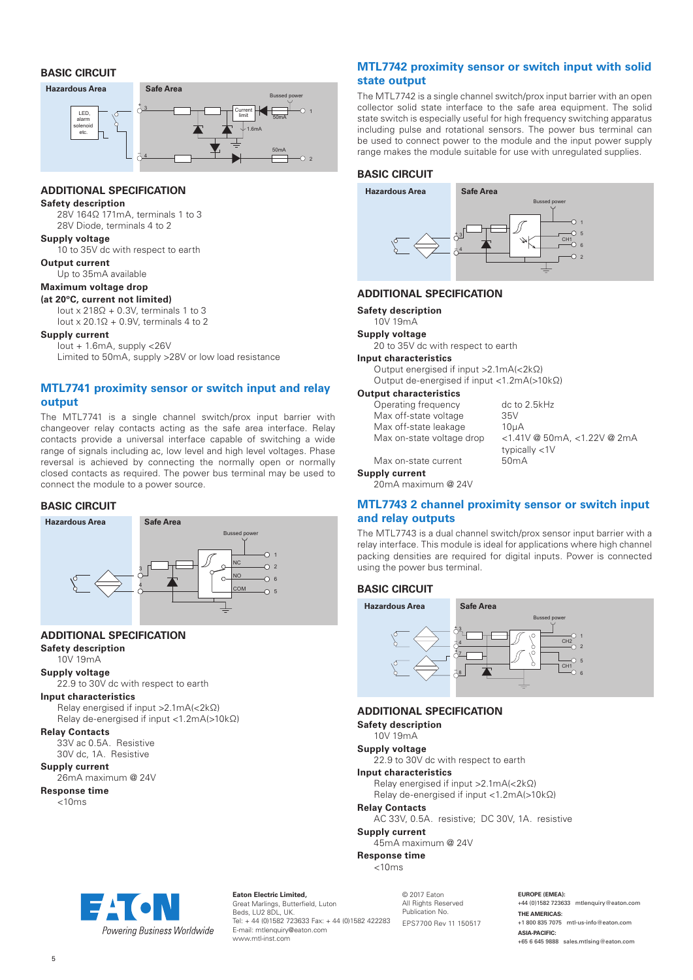# **BASIC CIRCUIT**



# **ADDITIONAL SPECIFICATION**

#### **Safety description**

28V 164Ω 171mA, terminals 1 to 3 28V Diode, terminals 4 to 2

#### **Supply voltage**

10 to 35V dc with respect to earth

# **Output current**

Up to 35mA available

# **Maximum voltage drop**

#### **(at 20ºC, current not limited)**

Iout x 218Ω + 0.3V, terminals 1 to 3 Iout x 20.1Ω + 0.9V, terminals 4 to 2

#### **Supply current**

Iout + 1.6mA, supply <26V Limited to 50mA, supply >28V or low load resistance

# **MTL7741 proximity sensor or switch input and relay output**

The MTL7741 is a single channel switch/prox input barrier with changeover relay contacts acting as the safe area interface. Relay contacts provide a universal interface capable of switching a wide range of signals including ac, low level and high level voltages. Phase reversal is achieved by connecting the normally open or normally closed contacts as required. The power bus terminal may be used to connect the module to a power source.

# **BASIC CIRCUIT**



# **ADDITIONAL SPECIFICATION**

**Safety description**

# 10V 19mA

**Supply voltage** 22.9 to 30V dc with respect to earth

#### **Input characteristics**

Relay energised if input >2.1mA(<2kΩ) Relay de-energised if input <1.2mA(>10kΩ)

**Relay Contacts**

33V ac 0.5A. Resistive 30V dc, 1A. Resistive

# **Supply current**

26mA maximum @ 24V

#### **Response time**

 $< 10ms$ 

# **MTL7742 proximity sensor or switch input with solid state output**

The MTL7742 is a single channel switch/prox input barrier with an open collector solid state interface to the safe area equipment. The solid state switch is especially useful for high frequency switching apparatus including pulse and rotational sensors. The power bus terminal can be used to connect power to the module and the input power supply range makes the module suitable for use with unregulated supplies.

# **BASIC CIRCUIT**

**Hazardous Area Safe Area**



#### **ADDITIONAL SPECIFICATION**

**Safety description**

#### 10V 19mA **Supply voltage**

20 to 35V dc with respect to earth

# **Input characteristics**

Output energised if input >2.1mA(<2kΩ) Output de-energised if input <1.2mA(>10kΩ)

# **Output characteristics**

| Operating frequency       | dc to 2.5kHz                      |
|---------------------------|-----------------------------------|
| Max off-state voltage     | 35V                               |
| Max off-state leakage     | 10 <sub>U</sub> A                 |
| Max on-state voltage drop | $<$ 1.41V @ 50mA, $<$ 1.22V @ 2mA |
|                           | typically $<$ 1 $<$               |
| Max on-state current      | 50mA                              |

### **Supply current**

20mA maximum @ 24V

# **MTL7743 2 channel proximity sensor or switch input and relay outputs**

The MTL7743 is a dual channel switch/prox sensor input barrier with a relay interface. This module is ideal for applications where high channel packing densities are required for digital inputs. Power is connected using the power bus terminal.

#### **BASIC CIRCUIT**



**ADDITIONAL SPECIFICATION**

**Safety description**

#### 10V 19mA **Supply voltage**

22.9 to 30V dc with respect to earth

**Input characteristics**

Relay energised if input >2.1mA(<2kΩ)

Relay de-energised if input <1.2mA(>10kΩ)

#### **Relay Contacts**

AC 33V, 0.5A. resistive; DC 30V, 1A. resistive

**Supply current**

45mA maximum @ 24V **Response time** 

 $< 10$ ms



**Eaton Electric Limited,** Great Marlings, Butterfield, Luton Beds, LU2 8DL, UK. Tel: + 44 (0)1582 723633 Fax: + 44 (0)1582 422283 E-mail: mtlenquiry@eaton.com www.mtl-inst.com

© 2017 Eaton All Rights Reserved Publication No. EPS7700 Rev 11 150517 **EUROPE (EMEA):**

+44 (0)1582 723633 mtlenquiry@eaton.com **THE AMERICAS:** +1 800 835 7075 mtl-us-info@eaton.com **ASIA-PACIFIC:** +65 6 645 9888 sales.mtlsing@eaton.com